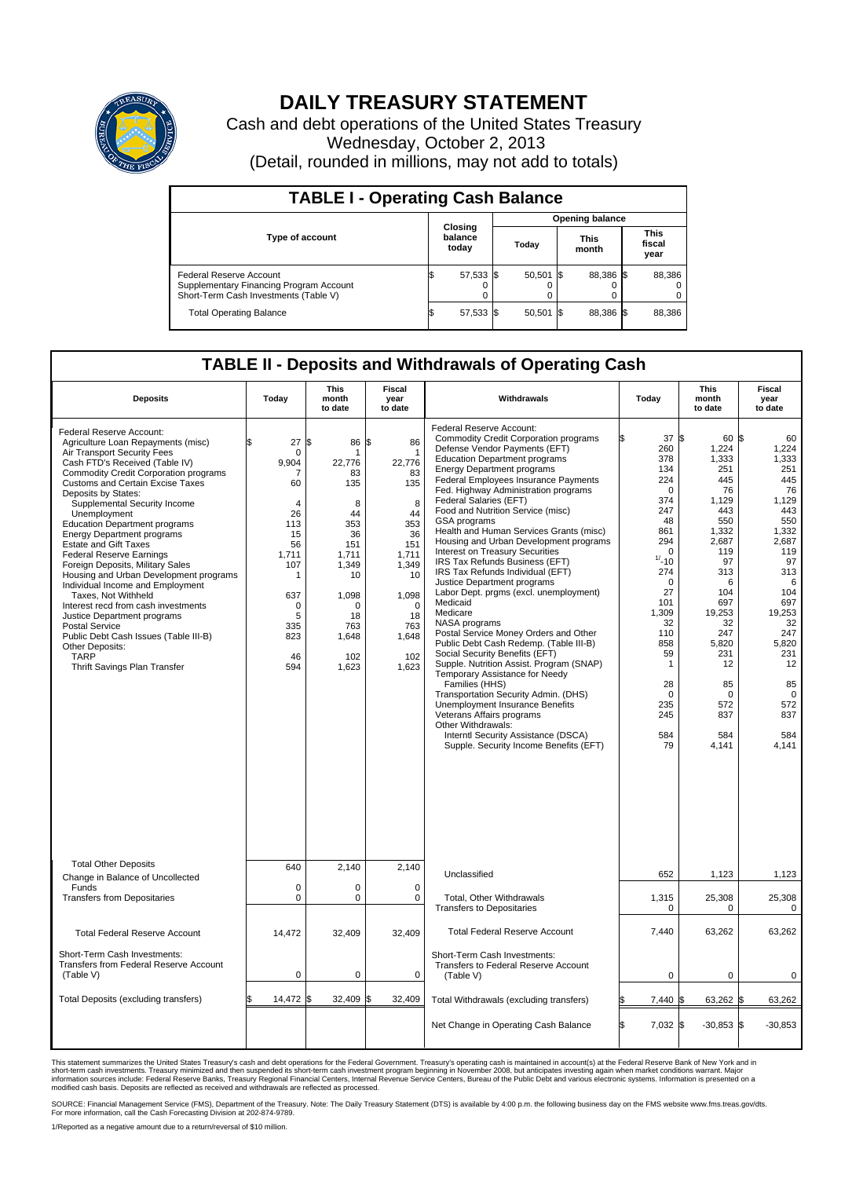

## **DAILY TREASURY STATEMENT**

Cash and debt operations of the United States Treasury Wednesday, October 2, 2013 (Detail, rounded in millions, may not add to totals)

| <b>TABLE I - Operating Cash Balance</b>                                                                     |  |                             |  |                        |  |                      |  |                               |  |  |
|-------------------------------------------------------------------------------------------------------------|--|-----------------------------|--|------------------------|--|----------------------|--|-------------------------------|--|--|
|                                                                                                             |  |                             |  | <b>Opening balance</b> |  |                      |  |                               |  |  |
| <b>Type of account</b>                                                                                      |  | Closing<br>balance<br>today |  | Today                  |  | <b>This</b><br>month |  | <b>This</b><br>fiscal<br>year |  |  |
| Federal Reserve Account<br>Supplementary Financing Program Account<br>Short-Term Cash Investments (Table V) |  | 57,533 \$                   |  | $50,501$ \$            |  | 88,386 \$            |  | 88,386                        |  |  |
| <b>Total Operating Balance</b>                                                                              |  | 57,533 \$                   |  | $50,501$ \$            |  | 88,386 \$            |  | 88,386                        |  |  |

## **TABLE II - Deposits and Withdrawals of Operating Cash**

|                                                                                                                                                                                                                                                                                                                                                                                                                                                                                                                                                                                                                                                                                                                                                                                                      |                                                                                                                                                                         | <b>This</b>                                                                                                                                       | <b>Fiscal</b>                                                                                                                                                       |                                                                                                                                                                                                                                                                                                                                                                                                                                                                                                                                                                                                                                                                                                                                                                                                                                                                                                                                                                                                                                                                                                                  |                                                                                                                                                                                                                                                | <b>This</b>                                                                                                                                                                                                             | <b>Fiscal</b><br>year<br>to date                                                                                                                                                                                      |  |
|------------------------------------------------------------------------------------------------------------------------------------------------------------------------------------------------------------------------------------------------------------------------------------------------------------------------------------------------------------------------------------------------------------------------------------------------------------------------------------------------------------------------------------------------------------------------------------------------------------------------------------------------------------------------------------------------------------------------------------------------------------------------------------------------------|-------------------------------------------------------------------------------------------------------------------------------------------------------------------------|---------------------------------------------------------------------------------------------------------------------------------------------------|---------------------------------------------------------------------------------------------------------------------------------------------------------------------|------------------------------------------------------------------------------------------------------------------------------------------------------------------------------------------------------------------------------------------------------------------------------------------------------------------------------------------------------------------------------------------------------------------------------------------------------------------------------------------------------------------------------------------------------------------------------------------------------------------------------------------------------------------------------------------------------------------------------------------------------------------------------------------------------------------------------------------------------------------------------------------------------------------------------------------------------------------------------------------------------------------------------------------------------------------------------------------------------------------|------------------------------------------------------------------------------------------------------------------------------------------------------------------------------------------------------------------------------------------------|-------------------------------------------------------------------------------------------------------------------------------------------------------------------------------------------------------------------------|-----------------------------------------------------------------------------------------------------------------------------------------------------------------------------------------------------------------------|--|
| <b>Deposits</b>                                                                                                                                                                                                                                                                                                                                                                                                                                                                                                                                                                                                                                                                                                                                                                                      | Today                                                                                                                                                                   | month<br>to date                                                                                                                                  | year<br>to date                                                                                                                                                     | Withdrawals                                                                                                                                                                                                                                                                                                                                                                                                                                                                                                                                                                                                                                                                                                                                                                                                                                                                                                                                                                                                                                                                                                      | Today                                                                                                                                                                                                                                          | month<br>to date                                                                                                                                                                                                        |                                                                                                                                                                                                                       |  |
| Federal Reserve Account:<br>Agriculture Loan Repayments (misc)<br>Air Transport Security Fees<br>Cash FTD's Received (Table IV)<br><b>Commodity Credit Corporation programs</b><br><b>Customs and Certain Excise Taxes</b><br>Deposits by States:<br>Supplemental Security Income<br>Unemployment<br><b>Education Department programs</b><br><b>Energy Department programs</b><br><b>Estate and Gift Taxes</b><br><b>Federal Reserve Earnings</b><br>Foreign Deposits, Military Sales<br>Housing and Urban Development programs<br>Individual Income and Employment<br>Taxes. Not Withheld<br>Interest recd from cash investments<br>Justice Department programs<br><b>Postal Service</b><br>Public Debt Cash Issues (Table III-B)<br>Other Deposits:<br><b>TARP</b><br>Thrift Savings Plan Transfer | 27<br>$\mathbf 0$<br>9,904<br>-7<br>60<br>$\overline{4}$<br>26<br>113<br>15<br>56<br>1.711<br>107<br>$\mathbf{1}$<br>637<br>$\mathbf 0$<br>5<br>335<br>823<br>46<br>594 | \$<br>86<br>22,776<br>83<br>135<br>8<br>44<br>353<br>36<br>151<br>1.711<br>1,349<br>10<br>1,098<br>$\Omega$<br>18<br>763<br>1,648<br>102<br>1,623 | \$<br>86<br>$\mathbf 1$<br>22,776<br>83<br>135<br>8<br>44<br>353<br>36<br>151<br>1.711<br>1,349<br>10<br>1,098<br>$\mathbf 0$<br>18<br>763<br>1,648<br>102<br>1,623 | Federal Reserve Account:<br><b>Commodity Credit Corporation programs</b><br>Defense Vendor Payments (EFT)<br><b>Education Department programs</b><br><b>Energy Department programs</b><br>Federal Employees Insurance Payments<br>Fed. Highway Administration programs<br>Federal Salaries (EFT)<br>Food and Nutrition Service (misc)<br><b>GSA</b> programs<br>Health and Human Services Grants (misc)<br>Housing and Urban Development programs<br>Interest on Treasury Securities<br>IRS Tax Refunds Business (EFT)<br>IRS Tax Refunds Individual (EFT)<br>Justice Department programs<br>Labor Dept. prgms (excl. unemployment)<br>Medicaid<br>Medicare<br>NASA programs<br>Postal Service Money Orders and Other<br>Public Debt Cash Redemp. (Table III-B)<br>Social Security Benefits (EFT)<br>Supple. Nutrition Assist. Program (SNAP)<br>Temporary Assistance for Needy<br>Families (HHS)<br>Transportation Security Admin. (DHS)<br>Unemployment Insurance Benefits<br>Veterans Affairs programs<br>Other Withdrawals:<br>Interntl Security Assistance (DSCA)<br>Supple. Security Income Benefits (EFT) | 37 \$<br>260<br>378<br>134<br>224<br>$\mathbf 0$<br>374<br>247<br>48<br>861<br>294<br>$\Omega$<br>$1/ - 10$<br>274<br>$\mathbf 0$<br>27<br>101<br>1,309<br>32<br>110<br>858<br>59<br>$\mathbf{1}$<br>28<br>$\Omega$<br>235<br>245<br>584<br>79 | 60 S<br>1,224<br>1,333<br>251<br>445<br>76<br>1,129<br>443<br>550<br>1,332<br>2,687<br>119<br>97<br>313<br>6<br>104<br>697<br>19,253<br>32<br>247<br>5,820<br>231<br>12<br>85<br>$\Omega$<br>572<br>837<br>584<br>4,141 | 60<br>1,224<br>1,333<br>251<br>445<br>76<br>1,129<br>443<br>550<br>1,332<br>2,687<br>119<br>97<br>313<br>6<br>104<br>697<br>19,253<br>32<br>247<br>5,820<br>231<br>12<br>85<br>$\Omega$<br>572<br>837<br>584<br>4,141 |  |
| <b>Total Other Deposits</b><br>Change in Balance of Uncollected                                                                                                                                                                                                                                                                                                                                                                                                                                                                                                                                                                                                                                                                                                                                      | 640                                                                                                                                                                     | 2,140                                                                                                                                             | 2,140                                                                                                                                                               | Unclassified                                                                                                                                                                                                                                                                                                                                                                                                                                                                                                                                                                                                                                                                                                                                                                                                                                                                                                                                                                                                                                                                                                     | 652                                                                                                                                                                                                                                            | 1,123                                                                                                                                                                                                                   | 1,123                                                                                                                                                                                                                 |  |
| Funds<br><b>Transfers from Depositaries</b>                                                                                                                                                                                                                                                                                                                                                                                                                                                                                                                                                                                                                                                                                                                                                          | $\mathbf 0$<br>$\mathbf 0$                                                                                                                                              | 0<br>0                                                                                                                                            | $\mathbf 0$<br>0                                                                                                                                                    | Total, Other Withdrawals<br><b>Transfers to Depositaries</b>                                                                                                                                                                                                                                                                                                                                                                                                                                                                                                                                                                                                                                                                                                                                                                                                                                                                                                                                                                                                                                                     | 1,315<br>$\mathbf 0$                                                                                                                                                                                                                           | 25,308<br>0                                                                                                                                                                                                             | 25,308<br>$\mathbf 0$                                                                                                                                                                                                 |  |
| <b>Total Federal Reserve Account</b>                                                                                                                                                                                                                                                                                                                                                                                                                                                                                                                                                                                                                                                                                                                                                                 | 14,472                                                                                                                                                                  | 32,409                                                                                                                                            | 32.409                                                                                                                                                              | <b>Total Federal Reserve Account</b>                                                                                                                                                                                                                                                                                                                                                                                                                                                                                                                                                                                                                                                                                                                                                                                                                                                                                                                                                                                                                                                                             | 7,440                                                                                                                                                                                                                                          | 63,262                                                                                                                                                                                                                  | 63,262                                                                                                                                                                                                                |  |
| Short-Term Cash Investments:<br><b>Transfers from Federal Reserve Account</b><br>(Table V)                                                                                                                                                                                                                                                                                                                                                                                                                                                                                                                                                                                                                                                                                                           | 0                                                                                                                                                                       | 0                                                                                                                                                 | 0                                                                                                                                                                   | Short-Term Cash Investments:<br>Transfers to Federal Reserve Account<br>(Table V)                                                                                                                                                                                                                                                                                                                                                                                                                                                                                                                                                                                                                                                                                                                                                                                                                                                                                                                                                                                                                                | 0                                                                                                                                                                                                                                              | 0                                                                                                                                                                                                                       | 0                                                                                                                                                                                                                     |  |
| Total Deposits (excluding transfers)                                                                                                                                                                                                                                                                                                                                                                                                                                                                                                                                                                                                                                                                                                                                                                 | 14,472                                                                                                                                                                  | 32,409                                                                                                                                            | 32,409                                                                                                                                                              | Total Withdrawals (excluding transfers)                                                                                                                                                                                                                                                                                                                                                                                                                                                                                                                                                                                                                                                                                                                                                                                                                                                                                                                                                                                                                                                                          | 7,440 \$<br>\$                                                                                                                                                                                                                                 | 63,262 \$                                                                                                                                                                                                               | 63,262                                                                                                                                                                                                                |  |
|                                                                                                                                                                                                                                                                                                                                                                                                                                                                                                                                                                                                                                                                                                                                                                                                      |                                                                                                                                                                         |                                                                                                                                                   |                                                                                                                                                                     | Net Change in Operating Cash Balance                                                                                                                                                                                                                                                                                                                                                                                                                                                                                                                                                                                                                                                                                                                                                                                                                                                                                                                                                                                                                                                                             | l\$<br>7,032 \$                                                                                                                                                                                                                                | $-30,853$ \$                                                                                                                                                                                                            | $-30,853$                                                                                                                                                                                                             |  |

This statement summarizes the United States Treasury's cash and debt operations for the Federal Government. Treasury's operating cash is maintained in account(s) at the Federal Reserve Bank of New York and in<br>short-term ca

SOURCE: Financial Management Service (FMS), Department of the Treasury. Note: The Daily Treasury Statement (DTS) is available by 4:00 p.m. the following business day on the FMS website www.fms.treas.gov/dts.<br>For more infor

1/Reported as a negative amount due to a return/reversal of \$10 million.